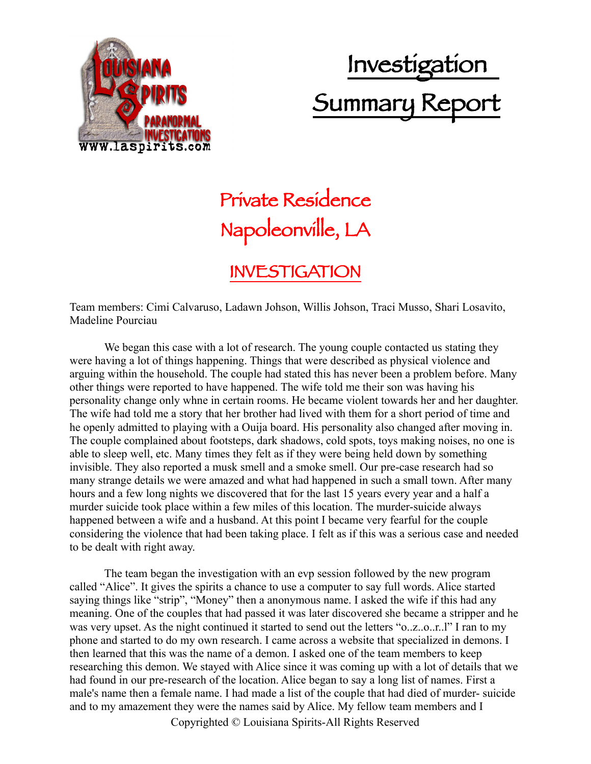

## Investigation Summary Report

## Private Residence Napoleonville, LA

## INVESTIGATION

Team members: Cimi Calvaruso, Ladawn Johson, Willis Johson, Traci Musso, Shari Losavito, Madeline Pourciau

We began this case with a lot of research. The young couple contacted us stating they were having a lot of things happening. Things that were described as physical violence and arguing within the household. The couple had stated this has never been a problem before. Many other things were reported to have happened. The wife told me their son was having his personality change only whne in certain rooms. He became violent towards her and her daughter. The wife had told me a story that her brother had lived with them for a short period of time and he openly admitted to playing with a Ouija board. His personality also changed after moving in. The couple complained about footsteps, dark shadows, cold spots, toys making noises, no one is able to sleep well, etc. Many times they felt as if they were being held down by something invisible. They also reported a musk smell and a smoke smell. Our pre-case research had so many strange details we were amazed and what had happened in such a small town. After many hours and a few long nights we discovered that for the last 15 years every year and a half a murder suicide took place within a few miles of this location. The murder-suicide always happened between a wife and a husband. At this point I became very fearful for the couple considering the violence that had been taking place. I felt as if this was a serious case and needed to be dealt with right away.

The team began the investigation with an evp session followed by the new program called "Alice". It gives the spirits a chance to use a computer to say full words. Alice started saying things like "strip", "Money" then a anonymous name. I asked the wife if this had any meaning. One of the couples that had passed it was later discovered she became a stripper and he was very upset. As the night continued it started to send out the letters "o..z..o..r..l" I ran to my phone and started to do my own research. I came across a website that specialized in demons. I then learned that this was the name of a demon. I asked one of the team members to keep researching this demon. We stayed with Alice since it was coming up with a lot of details that we had found in our pre-research of the location. Alice began to say a long list of names. First a male's name then a female name. I had made a list of the couple that had died of murder- suicide and to my amazement they were the names said by Alice. My fellow team members and I

Copyrighted © Louisiana Spirits-All Rights Reserved